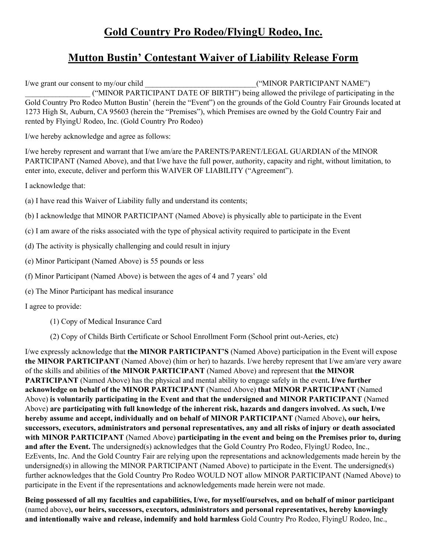## **Gold Country Pro Rodeo/FlyingU Rodeo, Inc.**

## **Mutton Bustin' Contestant Waiver of Liability Release Form**

I/we grant our consent to my/our child  $($ "MINOR PARTICIPANT NAME") \_\_\_\_\_\_\_\_\_\_\_\_\_\_\_\_\_ ("MINOR PARTICIPANT DATE OF BIRTH") being allowed the privilege of participating in the Gold Country Pro Rodeo Mutton Bustin' (herein the "Event") on the grounds of the Gold Country Fair Grounds located at 1273 High St, Auburn, CA 95603 (herein the "Premises"), which Premises are owned by the Gold Country Fair and rented by FlyingU Rodeo, Inc. (Gold Country Pro Rodeo)

I/we hereby acknowledge and agree as follows:

I/we hereby represent and warrant that I/we am/are the PARENTS/PARENT/LEGAL GUARDIAN of the MINOR PARTICIPANT (Named Above), and that I/we have the full power, authority, capacity and right, without limitation, to enter into, execute, deliver and perform this WAIVER OF LIABILITY ("Agreement").

I acknowledge that:

- (a) I have read this Waiver of Liability fully and understand its contents;
- (b) I acknowledge that MINOR PARTICIPANT (Named Above) is physically able to participate in the Event
- (c) I am aware of the risks associated with the type of physical activity required to participate in the Event
- (d) The activity is physically challenging and could result in injury
- (e) Minor Participant (Named Above) is 55 pounds or less
- (f) Minor Participant (Named Above) is between the ages of 4 and 7 years' old
- (e) The Minor Participant has medical insurance

I agree to provide:

- (1) Copy of Medical Insurance Card
- (2) Copy of Childs Birth Certificate or School Enrollment Form (School print out-Aeries, etc)

I/we expressly acknowledge that **the MINOR PARTICIPANT'S** (Named Above) participation in the Event will expose **the MINOR PARTICIPANT** (Named Above) (him or her) to hazards. I/we hereby represent that I/we am/are very aware of the skills and abilities of **the MINOR PARTICIPANT** (Named Above) and represent that **the MINOR PARTICIPANT** (Named Above) has the physical and mental ability to engage safely in the event**. I/we further acknowledge on behalf of the MINOR PARTICIPANT** (Named Above) **that MINOR PARTICIPANT** (Named Above) **is voluntarily participating in the Event and that the undersigned and MINOR PARTICIPANT** (Named Above) **are participating with full knowledge of the inherent risk, hazards and dangers involved. As such, I/we hereby assume and accept, individually and on behalf of MINOR PARTICIPANT** (Named Above)**, our heirs, successors, executors, administrators and personal representatives, any and all risks of injury or death associated with MINOR PARTICIPANT** (Named Above) **participating in the event and being on the Premises prior to, during and after the Event.** The undersigned(s) acknowledges that the Gold Country Pro Rodeo, FlyingU Rodeo, Inc., EzEvents, Inc. And the Gold Country Fair are relying upon the representations and acknowledgements made herein by the undersigned(s) in allowing the MINOR PARTICIPANT (Named Above) to participate in the Event. The undersigned(s) further acknowledges that the Gold Country Pro Rodeo WOULD NOT allow MINOR PARTICIPANT (Named Above) to participate in the Event if the representations and acknowledgements made herein were not made.

**Being possessed of all my faculties and capabilities, I/we, for myself/ourselves, and on behalf of minor participant** (named above)**, our heirs, successors, executors, administrators and personal representatives, hereby knowingly and intentionally waive and release, indemnify and hold harmless** Gold Country Pro Rodeo, FlyingU Rodeo, Inc.,